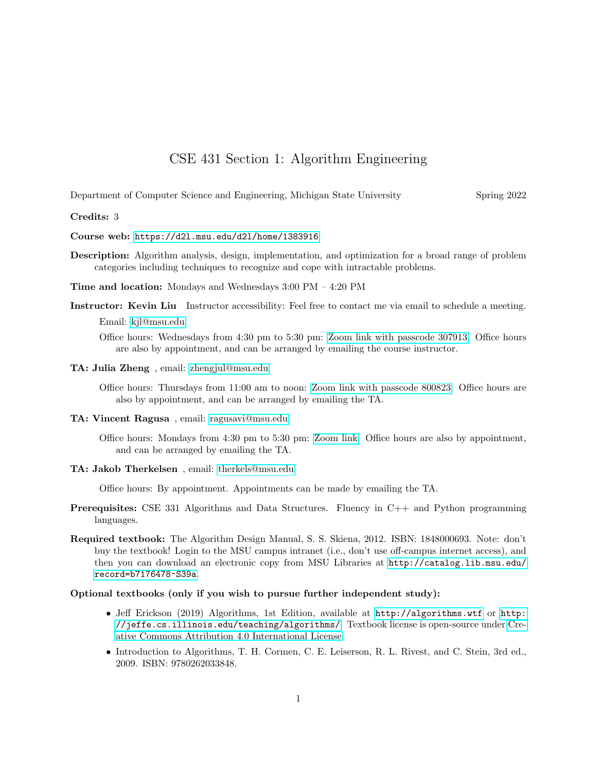## CSE 431 Section 1: Algorithm Engineering

Department of Computer Science and Engineering, Michigan State University Spring 2022

## Credits: 3

Course web: <https://d2l.msu.edu/d2l/home/1383916>

Description: Algorithm analysis, design, implementation, and optimization for a broad range of problem categories including techniques to recognize and cope with intractable problems.

Time and location: Mondays and Wednesdays 3:00 PM – 4:20 PM

- Instructor: Kevin Liu Instructor accessibility: Feel free to contact me via email to schedule a meeting. Email: [kjl@msu.edu](mailto:kjl@msu.edu)
	- Office hours: Wednesdays from 4:30 pm to 5:30 pm: [Zoom link with passcode 307913.](https://msu.zoom.us/j/97153254517) Office hours are also by appointment, and can be arranged by emailing the course instructor.
- TA: Julia Zheng , email: [zhengjul@msu.edu](mailto:zhengjul@msu.edu)

Office hours: Thursdays from 11:00 am to noon: [Zoom link with passcode 800823.](https://msu.zoom.us/j/97267881404) Office hours are also by appointment, and can be arranged by emailing the TA.

TA: Vincent Ragusa , email: [ragusavi@msu.edu](mailto:ragusavi@msu.edu)

Office hours: Mondays from 4:30 pm to 5:30 pm: [Zoom link.](https://msu.zoom.us/j/98272629559) Office hours are also by appointment, and can be arranged by emailing the TA.

TA: Jakob Therkelsen , email: [therkels@msu.edu](mailto:therkels@msu.edu)

Office hours: By appointment. Appointments can be made by emailing the TA.

- Prerequisites: CSE 331 Algorithms and Data Structures. Fluency in C++ and Python programming languages.
- Required textbook: The Algorithm Design Manual, S. S. Skiena, 2012. ISBN: 1848000693. Note: don't buy the textbook! Login to the MSU campus intranet (i.e., don't use off-campus internet access), and then you can download an electronic copy from MSU Libraries at [http://catalog.lib.msu.edu/](http://catalog.lib.msu.edu/record=b7176478~S39a) [record=b7176478~S39a](http://catalog.lib.msu.edu/record=b7176478~S39a).

## Optional textbooks (only if you wish to pursue further independent study):

- Jeff Erickson (2019) Algorithms, 1st Edition, available at <http://algorithms.wtf> or [http:](http://jeffe.cs.illinois.edu/teaching/algorithms/) [//jeffe.cs.illinois.edu/teaching/algorithms/](http://jeffe.cs.illinois.edu/teaching/algorithms/). Textbook license is open-source under [Cre](http://creativecommons.org/licenses/by/4.0/)[ative Commons Attribution 4.0 International License.](http://creativecommons.org/licenses/by/4.0/)
- Introduction to Algorithms, T. H. Cormen, C. E. Leiserson, R. L. Rivest, and C. Stein, 3rd ed., 2009. ISBN: 9780262033848.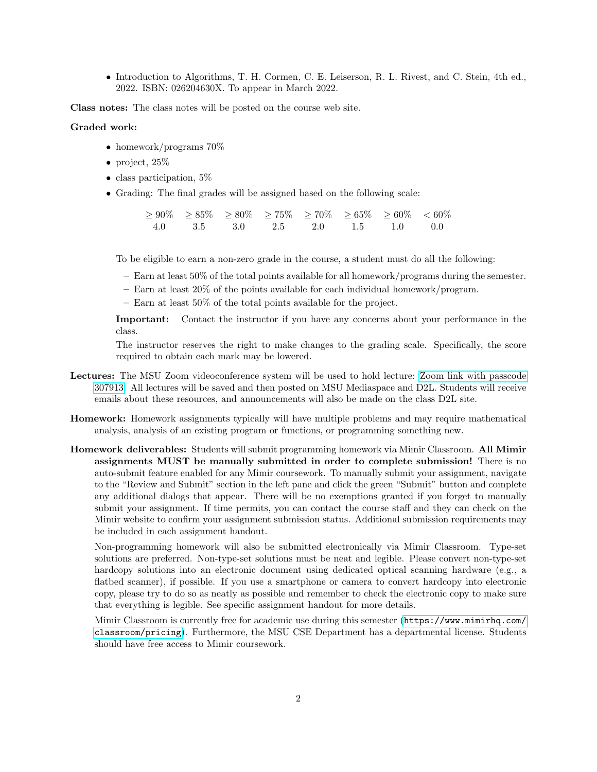• Introduction to Algorithms, T. H. Cormen, C. E. Leiserson, R. L. Rivest, and C. Stein, 4th ed., 2022. ISBN: 026204630X. To appear in March 2022.

Class notes: The class notes will be posted on the course web site.

## Graded work:

- homework/programs  $70\%$
- project,  $25\%$
- class participation, 5%
- Grading: The final grades will be assigned based on the following scale:

 $\ge 90\%$   $\ge 85\%$   $\ge 80\%$   $\ge 75\%$   $\ge 70\%$   $\ge 65\%$   $\ge 60\%$   $\lt 60\%$ 4.0 3.5 3.0 2.5 2.0 1.5 1.0 0.0

To be eligible to earn a non-zero grade in the course, a student must do all the following:

- Earn at least 50% of the total points available for all homework/programs during the semester.
- Earn at least 20% of the points available for each individual homework/program.
- Earn at least 50% of the total points available for the project.

Important: Contact the instructor if you have any concerns about your performance in the class.

The instructor reserves the right to make changes to the grading scale. Specifically, the score required to obtain each mark may be lowered.

- Lectures: The MSU Zoom videoconference system will be used to hold lecture: [Zoom link with passcode](https://msu.zoom.us/j/97153254517) [307913.](https://msu.zoom.us/j/97153254517) All lectures will be saved and then posted on MSU Mediaspace and D2L. Students will receive emails about these resources, and announcements will also be made on the class D2L site.
- Homework: Homework assignments typically will have multiple problems and may require mathematical analysis, analysis of an existing program or functions, or programming something new.
- Homework deliverables: Students will submit programming homework via Mimir Classroom. All Mimir assignments MUST be manually submitted in order to complete submission! There is no auto-submit feature enabled for any Mimir coursework. To manually submit your assignment, navigate to the "Review and Submit" section in the left pane and click the green "Submit" button and complete any additional dialogs that appear. There will be no exemptions granted if you forget to manually submit your assignment. If time permits, you can contact the course staff and they can check on the Mimir website to confirm your assignment submission status. Additional submission requirements may be included in each assignment handout.

Non-programming homework will also be submitted electronically via Mimir Classroom. Type-set solutions are preferred. Non-type-set solutions must be neat and legible. Please convert non-type-set hardcopy solutions into an electronic document using dedicated optical scanning hardware (e.g., a flatbed scanner), if possible. If you use a smartphone or camera to convert hardcopy into electronic copy, please try to do so as neatly as possible and remember to check the electronic copy to make sure that everything is legible. See specific assignment handout for more details.

Mimir Classroom is currently free for academic use during this semester ([https://www.mimirhq.com/](https://www.mimirhq.com/classroom/pricing) [classroom/pricing](https://www.mimirhq.com/classroom/pricing)). Furthermore, the MSU CSE Department has a departmental license. Students should have free access to Mimir coursework.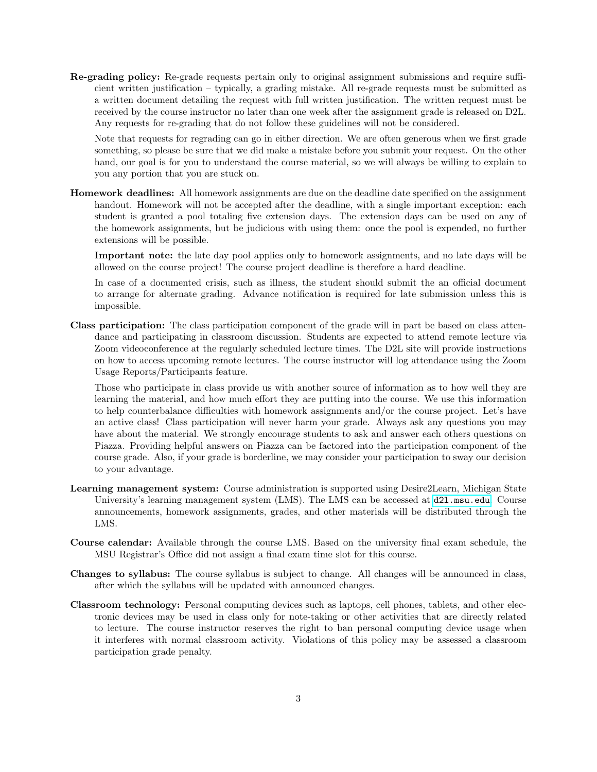Re-grading policy: Re-grade requests pertain only to original assignment submissions and require sufficient written justification – typically, a grading mistake. All re-grade requests must be submitted as a written document detailing the request with full written justification. The written request must be received by the course instructor no later than one week after the assignment grade is released on D2L. Any requests for re-grading that do not follow these guidelines will not be considered.

Note that requests for regrading can go in either direction. We are often generous when we first grade something, so please be sure that we did make a mistake before you submit your request. On the other hand, our goal is for you to understand the course material, so we will always be willing to explain to you any portion that you are stuck on.

Homework deadlines: All homework assignments are due on the deadline date specified on the assignment handout. Homework will not be accepted after the deadline, with a single important exception: each student is granted a pool totaling five extension days. The extension days can be used on any of the homework assignments, but be judicious with using them: once the pool is expended, no further extensions will be possible.

Important note: the late day pool applies only to homework assignments, and no late days will be allowed on the course project! The course project deadline is therefore a hard deadline.

In case of a documented crisis, such as illness, the student should submit the an official document to arrange for alternate grading. Advance notification is required for late submission unless this is impossible.

Class participation: The class participation component of the grade will in part be based on class attendance and participating in classroom discussion. Students are expected to attend remote lecture via Zoom videoconference at the regularly scheduled lecture times. The D2L site will provide instructions on how to access upcoming remote lectures. The course instructor will log attendance using the Zoom Usage Reports/Participants feature.

Those who participate in class provide us with another source of information as to how well they are learning the material, and how much effort they are putting into the course. We use this information to help counterbalance difficulties with homework assignments and/or the course project. Let's have an active class! Class participation will never harm your grade. Always ask any questions you may have about the material. We strongly encourage students to ask and answer each others questions on Piazza. Providing helpful answers on Piazza can be factored into the participation component of the course grade. Also, if your grade is borderline, we may consider your participation to sway our decision to your advantage.

- Learning management system: Course administration is supported using Desire2Learn, Michigan State University's learning management system (LMS). The LMS can be accessed at  $d21$  msu.edu. Course announcements, homework assignments, grades, and other materials will be distributed through the LMS.
- Course calendar: Available through the course LMS. Based on the university final exam schedule, the MSU Registrar's Office did not assign a final exam time slot for this course.
- Changes to syllabus: The course syllabus is subject to change. All changes will be announced in class, after which the syllabus will be updated with announced changes.
- Classroom technology: Personal computing devices such as laptops, cell phones, tablets, and other electronic devices may be used in class only for note-taking or other activities that are directly related to lecture. The course instructor reserves the right to ban personal computing device usage when it interferes with normal classroom activity. Violations of this policy may be assessed a classroom participation grade penalty.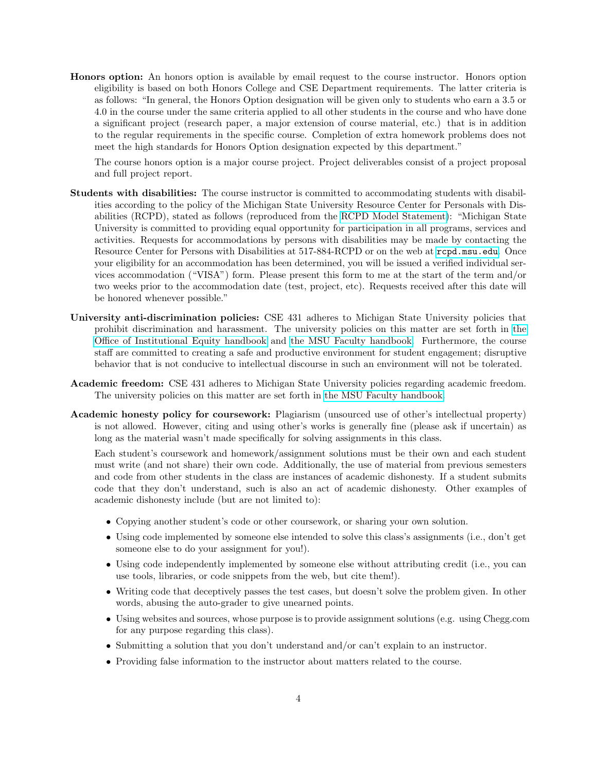Honors option: An honors option is available by email request to the course instructor. Honors option eligibility is based on both Honors College and CSE Department requirements. The latter criteria is as follows: "In general, the Honors Option designation will be given only to students who earn a 3.5 or 4.0 in the course under the same criteria applied to all other students in the course and who have done a significant project (research paper, a major extension of course material, etc.) that is in addition to the regular requirements in the specific course. Completion of extra homework problems does not meet the high standards for Honors Option designation expected by this department."

The course honors option is a major course project. Project deliverables consist of a project proposal and full project report.

- Students with disabilities: The course instructor is committed to accommodating students with disabilities according to the policy of the Michigan State University Resource Center for Personals with Disabilities (RCPD), stated as follows (reproduced from the [RCPD Model Statement\)](https://www.rcpd.msu.edu/services/accommodations): "Michigan State University is committed to providing equal opportunity for participation in all programs, services and activities. Requests for accommodations by persons with disabilities may be made by contacting the Resource Center for Persons with Disabilities at 517-884-RCPD or on the web at <rcpd.msu.edu>. Once your eligibility for an accommodation has been determined, you will be issued a verified individual services accommodation ("VISA") form. Please present this form to me at the start of the term and/or two weeks prior to the accommodation date (test, project, etc). Requests received after this date will be honored whenever possible."
- University anti-discrimination policies: CSE 431 adheres to Michigan State University policies that prohibit discrimination and harassment. The university policies on this matter are set forth in [the](http://oie.msu.edu/policies-procedures-forms/documents/ADP%20Users%20Manual%20-%20updated%2015.07.24.pdf) [Office of Institutional Equity handbook](http://oie.msu.edu/policies-procedures-forms/documents/ADP%20Users%20Manual%20-%20updated%2015.07.24.pdf) and [the MSU Faculty handbook.](https://www.hr.msu.edu/documents/facacadhandbooks/facultyhandbook/AntiDiscrimPolicy.htm) Furthermore, the course staff are committed to creating a safe and productive environment for student engagement; disruptive behavior that is not conducive to intellectual discourse in such an environment will not be tolerated.
- Academic freedom: CSE 431 adheres to Michigan State University policies regarding academic freedom. The university policies on this matter are set forth in [the MSU Faculty handbook.](https://www.hr.msu.edu/documents/facacadhandbooks/facultyhandbook/AcademicFreedom.htm)
- Academic honesty policy for coursework: Plagiarism (unsourced use of other's intellectual property) is not allowed. However, citing and using other's works is generally fine (please ask if uncertain) as long as the material wasn't made specifically for solving assignments in this class.

Each student's coursework and homework/assignment solutions must be their own and each student must write (and not share) their own code. Additionally, the use of material from previous semesters and code from other students in the class are instances of academic dishonesty. If a student submits code that they don't understand, such is also an act of academic dishonesty. Other examples of academic dishonesty include (but are not limited to):

- Copying another student's code or other coursework, or sharing your own solution.
- Using code implemented by someone else intended to solve this class's assignments (i.e., don't get someone else to do your assignment for you!).
- Using code independently implemented by someone else without attributing credit (i.e., you can use tools, libraries, or code snippets from the web, but cite them!).
- Writing code that deceptively passes the test cases, but doesn't solve the problem given. In other words, abusing the auto-grader to give unearned points.
- Using websites and sources, whose purpose is to provide assignment solutions (e.g. using Chegg.com for any purpose regarding this class).
- Submitting a solution that you don't understand and/or can't explain to an instructor.
- Providing false information to the instructor about matters related to the course.